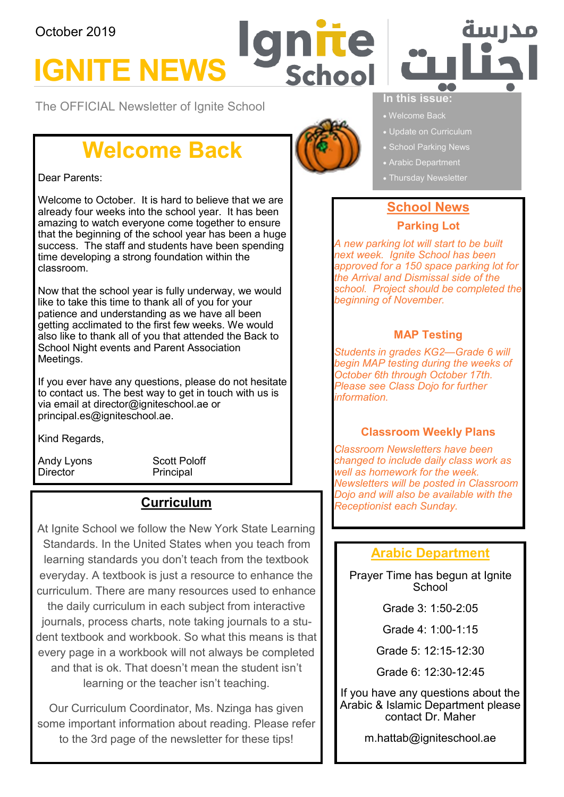#### October 2019

# **IGNITE NEWS**

The OFFICIAL Newsletter of Ignite School

### **Welcome Back**

#### Dear Parents:

Welcome to October. It is hard to believe that we are already four weeks into the school year. It has been amazing to watch everyone come together to ensure that the beginning of the school year has been a huge success. The staff and students have been spending time developing a strong foundation within the classroom.

Now that the school year is fully underway, we would like to take this time to thank all of you for your patience and understanding as we have all been getting acclimated to the first few weeks. We would also like to thank all of you that attended the Back to School Night events and Parent Association Meetings.

If you ever have any questions, please do not hesitate to contact us. The best way to get in touch with us is via email at director@igniteschool.ae or principal.es@igniteschool.ae.

Kind Regards,

Director Principal

Andy Lyons Scott Poloff

#### **Curriculum**

At Ignite School we follow the New York State Learning Standards. In the United States when you teach from learning standards you don't teach from the textbook everyday. A textbook is just a resource to enhance the curriculum. There are many resources used to enhance

the daily curriculum in each subject from interactive journals, process charts, note taking journals to a student textbook and workbook. So what this means is that every page in a workbook will not always be completed and that is ok. That doesn't mean the student isn't learning or the teacher isn't teaching.

Our Curriculum Coordinator, Ms. Nzinga has given some important information about reading. Please refer to the 3rd page of the newsletter for these tips!



Schoo

πe



#### **In this issue:**

- 
- Update on Curriculum
- School Parking News
- Arabic Department
- 

#### **School News**

#### **Parking Lot**

*A new parking lot will start to be built next week. Ignite School has been approved for a 150 space parking lot for the Arrival and Dismissal side of the school. Project should be completed the beginning of November.*

#### **MAP Testing**

*Students in grades KG2—Grade 6 will begin MAP testing during the weeks of October 6th through October 17th. Please see Class Dojo for further information.*

#### **Classroom Weekly Plans**

*Classroom Newsletters have been changed to include daily class work as well as homework for the week. Newsletters will be posted in Classroom Dojo and will also be available with the Receptionist each Sunday.*

#### **Arabic Department**

Prayer Time has begun at Ignite **School** 

Grade 3: 1:50-2:05

Grade 4: 1:00-1:15

Grade 5: 12:15-12:30

Grade 6: 12:30-12:45

If you have any questions about the Arabic & Islamic Department please contact Dr. Maher

m.hattab@igniteschool.ae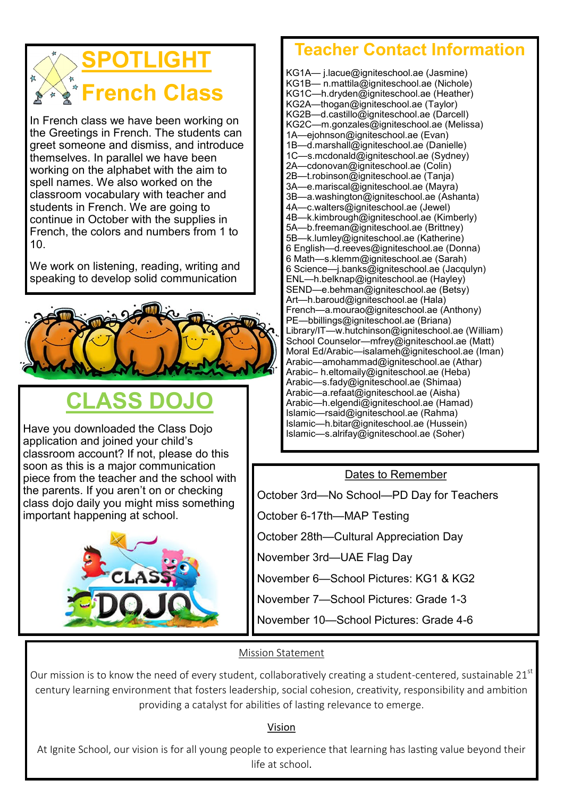## **SPOTLIGHT French Class**

In French class we have been working on the Greetings in French. The students can greet someone and dismiss, and introduce themselves. In parallel we have been working on the alphabet with the aim to spell names. We also worked on the classroom vocabulary with teacher and students in French. We are going to continue in October with the supplies in French, the colors and numbers from 1 to 10.

We work on listening, reading, writing and speaking to develop solid communication



## **CLASS DOJO**

Have you downloaded the Class Dojo application and joined your child's classroom account? If not, please do this soon as this is a major communication piece from the teacher and the school with the parents. If you aren't on or checking class dojo daily you might miss something important happening at school.



### **Teacher Contact Information**

KG1A— j.lacue@igniteschool.ae (Jasmine) KG1B— n.mattila@igniteschool.ae (Nichole) KG1C—h.dryden@igniteschool.ae (Heather) KG2A—thogan@igniteschool.ae (Taylor) KG2B—d.castillo@igniteschool.ae (Darcell) KG2C—m.gonzales@igniteschool.ae (Melissa) 1A—ejohnson@igniteschool.ae (Evan) 1B—d.marshall@igniteschool.ae (Danielle) 1C—s.mcdonald@igniteschool.ae (Sydney) 2A—cdonovan@igniteschool.ae (Colin) 2B—t.robinson@igniteschool.ae (Tanja) 3A—e.mariscal@igniteschool.ae (Mayra) 3B—a.washington@igniteschool.ae (Ashanta) 4A—c.walters@igniteschool.ae (Jewel) 4B—k.kimbrough@igniteschool.ae (Kimberly) 5A—b.freeman@igniteschool.ae (Brittney) 5B—k.lumley@igniteschool.ae (Katherine) 6 English—d.reeves@igniteschool.ae (Donna) 6 Math—s.klemm@igniteschool.ae (Sarah) 6 Science—j.banks@igniteschool.ae (Jacqulyn) ENL—h.belknap@igniteschool.ae (Hayley) SEND—e.behman@igniteschool.ae (Betsy) Art—h.baroud@igniteschool.ae (Hala) French—a.mourao@igniteschool.ae (Anthony) PE—bbillings@igniteschool.ae (Briana) Library/IT—w.hutchinson@igniteschool.ae (William) School Counselor-mfrey@igniteschool.ae (Matt) Moral Ed/Arabic—isalameh@igniteschool.ae (Iman) Arabic—amohammad@igniteschool.ae (Athar) Arabic– h.eltomaily@igniteschool.ae (Heba) Arabic—s.fady@igniteschool.ae (Shimaa) Arabic—a.refaat@igniteschool.ae (Aisha) Arabic—h.elgendi@igniteschool.ae (Hamad) Islamic—rsaid@igniteschool.ae (Rahma) Islamic—h.bitar@igniteschool.ae (Hussein) Islamic—s.alrifay@igniteschool.ae (Soher)

#### Dates to Remember

October 3rd—No School—PD Day for Teachers

October 6-17th—MAP Testing

October 28th—Cultural Appreciation Day

November 3rd—UAE Flag Day

November 6—School Pictures: KG1 & KG2

November 7—School Pictures: Grade 1-3

November 10—School Pictures: Grade 4-6

#### Mission Statement

Our mission is to know the need of every student, collaboratively creating a student-centered, sustainable  $21<sup>st</sup>$ century learning environment that fosters leadership, social cohesion, creativity, responsibility and ambition providing a catalyst for abilities of lasting relevance to emerge.

Vision

At Ignite School, our vision is for all young people to experience that learning has lasting value beyond their life at school.